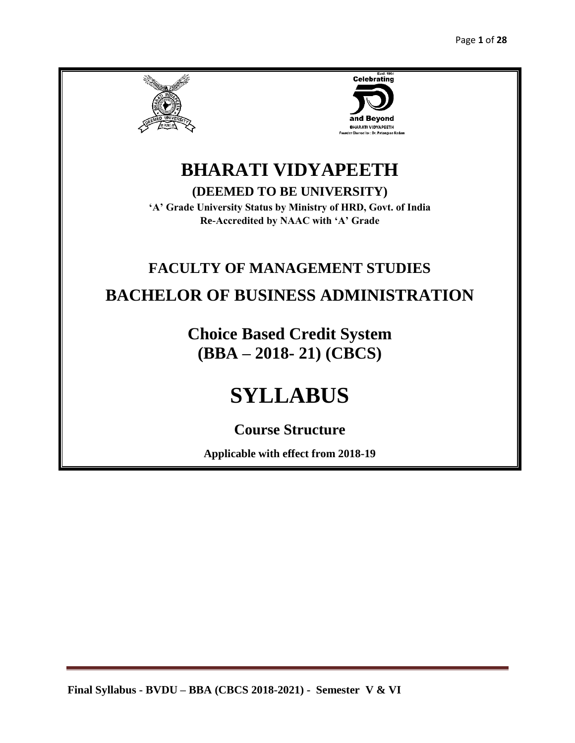



# **BHARATI VIDYAPEETH**

**(DEEMED TO BE UNIVERSITY)**

**'A' Grade University Status by Ministry of HRD, Govt. of India Re-Accredited by NAAC with 'A' Grade**

# **FACULTY OF MANAGEMENT STUDIES BACHELOR OF BUSINESS ADMINISTRATION**

**Choice Based Credit System (BBA – 2018- 21) (CBCS)**

# **SYLLABUS**

**Course Structure** 

**Applicable with effect from 2018-19**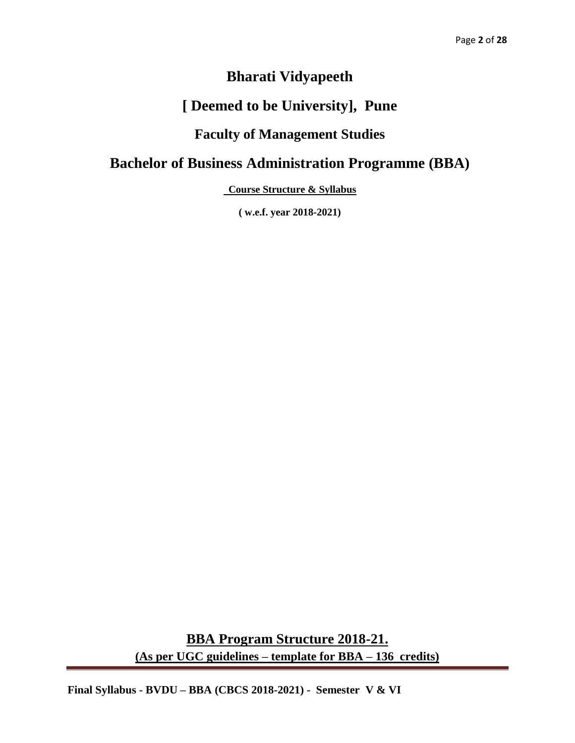# **Bharati Vidyapeeth**

# **[ Deemed to be University], Pune**

# **Faculty of Management Studies**

# **Bachelor of Business Administration Programme (BBA)**

**Course Structure & Syllabus** 

**( w.e.f. year 2018-2021)**

**BBA Program Structure 2018-21. (As per UGC guidelines – template for BBA – 136 credits)**

**Final Syllabus - BVDU – BBA (CBCS 2018-2021) - Semester V & VI**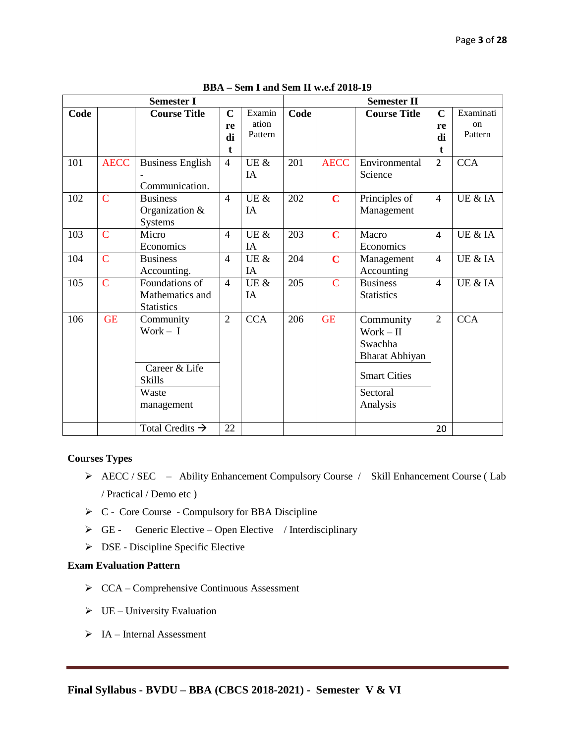|      |                | <b>Semester I</b>                                                  |                              |                            |      |             | <b>Semester II</b>                                                                       |                              |                            |
|------|----------------|--------------------------------------------------------------------|------------------------------|----------------------------|------|-------------|------------------------------------------------------------------------------------------|------------------------------|----------------------------|
| Code |                | <b>Course Title</b>                                                | $\mathbf C$<br>re<br>di<br>t | Examin<br>ation<br>Pattern | Code |             | <b>Course Title</b>                                                                      | $\mathbf C$<br>re<br>di<br>t | Examinati<br>on<br>Pattern |
| 101  | <b>AECC</b>    | <b>Business English</b><br>Communication.                          | $\overline{4}$               | UE $\&$<br>IA              | 201  | <b>AECC</b> | Environmental<br>Science                                                                 | $\overline{2}$               | <b>CCA</b>                 |
| 102  | $\overline{C}$ | <b>Business</b><br>Organization $&$<br><b>Systems</b>              | $\overline{4}$               | UE &<br>IA                 | 202  | $\mathbf C$ | Principles of<br>Management                                                              | $\overline{4}$               | UE & IA                    |
| 103  | $\overline{C}$ | Micro<br>Economics                                                 | $\overline{4}$               | UE &<br>IA                 | 203  | $\mathbf C$ | Macro<br>Economics                                                                       | 4                            | UE & IA                    |
| 104  | $\overline{C}$ | <b>Business</b><br>Accounting.                                     | $\overline{4}$               | UE $\&$<br>IA              | 204  | $\mathbf C$ | Management<br>Accounting                                                                 | $\overline{4}$               | UE & IA                    |
| 105  | $\overline{C}$ | Foundations of<br>Mathematics and<br><b>Statistics</b>             | $\overline{4}$               | UE &<br>IA                 | 205  | $\mathbf C$ | <b>Business</b><br><b>Statistics</b>                                                     | $\overline{4}$               | UE & IA                    |
| 106  | <b>GE</b>      | Community<br>Work $- I$<br>Career & Life<br><b>Skills</b><br>Waste | $\overline{2}$               | <b>CCA</b>                 | 206  | <b>GE</b>   | Community<br>$Work - II$<br>Swachha<br>Bharat Abhiyan<br><b>Smart Cities</b><br>Sectoral | $\overline{2}$               | <b>CCA</b>                 |
|      |                | management<br>Total Credits $\rightarrow$                          | 22                           |                            |      |             | Analysis                                                                                 | 20                           |                            |
|      |                |                                                                    |                              |                            |      |             |                                                                                          |                              |                            |

**BBA – Sem I and Sem II w.e.f 2018-19**

#### **Courses Types**

- AECC / SEC Ability Enhancement Compulsory Course / Skill Enhancement Course ( Lab / Practical / Demo etc )
- $\triangleright$  C Core Course Compulsory for BBA Discipline
- $\triangleright$  GE Generic Elective Open Elective / Interdisciplinary
- $\triangleright$  DSE Discipline Specific Elective

#### **Exam Evaluation Pattern**

- CCA Comprehensive Continuous Assessment
- $\triangleright$  UE University Evaluation
- $\triangleright$  IA Internal Assessment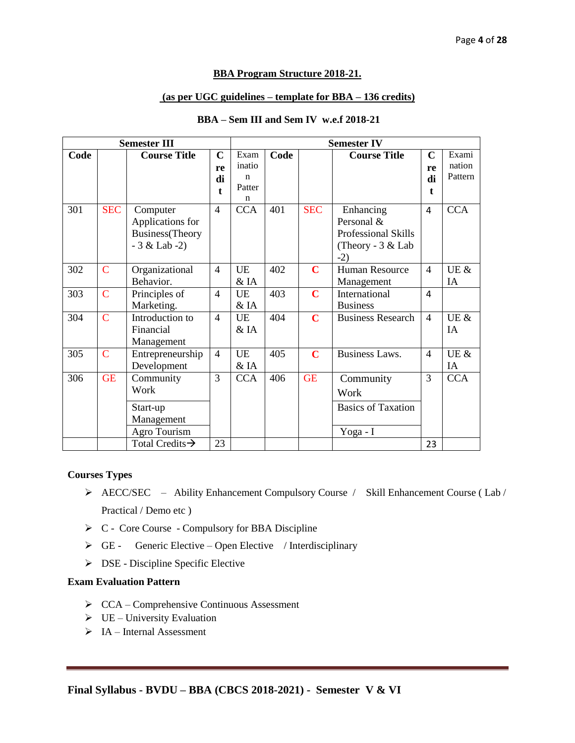#### **BBA Program Structure 2018-21.**

#### **(as per UGC guidelines – template for BBA – 136 credits)**

| <b>Semester III</b> |             |                                                                      | <b>Semester IV</b>                     |                                                        |      |             |                                                                                     |                               |                            |
|---------------------|-------------|----------------------------------------------------------------------|----------------------------------------|--------------------------------------------------------|------|-------------|-------------------------------------------------------------------------------------|-------------------------------|----------------------------|
| Code                |             | <b>Course Title</b>                                                  | $\mathbf C$<br>re<br>di<br>$\mathbf t$ | Exam<br>inatio<br>$\mathbf n$<br>Patter<br>$\mathbf n$ | Code |             | <b>Course Title</b>                                                                 | $\mathbf C$<br>re<br>di<br>t. | Exami<br>nation<br>Pattern |
| 301                 | <b>SEC</b>  | Computer<br>Applications for<br>Business(Theory<br>$-3 &$ Lab $-2$ ) | $\overline{4}$                         | <b>CCA</b>                                             | 401  | <b>SEC</b>  | Enhancing<br>Personal &<br><b>Professional Skills</b><br>(Theory - 3 & Lab<br>$-2)$ | 4                             | <b>CCA</b>                 |
| 302                 | $\mathbf C$ | Organizational<br>Behavior.                                          | $\overline{4}$                         | <b>UE</b><br>& <sub>A</sub>                            | 402  | $\mathbf C$ | <b>Human Resource</b><br>Management                                                 | $\overline{\mathcal{L}}$      | UE &<br>IA                 |
| 303                 | $\mathbf C$ | Principles of<br>Marketing.                                          | $\overline{4}$                         | <b>UE</b><br>& IA                                      | 403  | $\mathbf C$ | International<br><b>Business</b>                                                    | 4                             |                            |
| 304                 | $\mathbf C$ | Introduction to<br>Financial<br>Management                           | $\overline{4}$                         | <b>UE</b><br>& <sub>A</sub>                            | 404  | $\mathbf C$ | <b>Business Research</b>                                                            | $\overline{4}$                | UE &<br>IA                 |
| 305                 | $\mathbf C$ | Entrepreneurship<br>Development                                      | $\overline{4}$                         | <b>UE</b><br>$&$ IA                                    | 405  | $\mathbf C$ | <b>Business Laws.</b>                                                               | $\overline{4}$                | UE &<br>IA                 |
| 306                 | <b>GE</b>   | Community<br>Work<br>Start-up<br>Management<br>Agro Tourism          | 3                                      | <b>CCA</b>                                             | 406  | <b>GE</b>   | Community<br>Work<br><b>Basics of Taxation</b><br>Yoga - I                          | 3                             | <b>CCA</b>                 |
|                     |             | Total Credits $\rightarrow$                                          | 23                                     |                                                        |      |             |                                                                                     | 23                            |                            |

#### **BBA – Sem III and Sem IV w.e.f 2018-21**

#### **Courses Types**

- AECC/SEC Ability Enhancement Compulsory Course / Skill Enhancement Course ( Lab / Practical / Demo etc )
- $\triangleright$  C Core Course Compulsory for BBA Discipline
- $\triangleright$  GE Generic Elective Open Elective / Interdisciplinary
- $\triangleright$  DSE Discipline Specific Elective

#### **Exam Evaluation Pattern**

- CCA Comprehensive Continuous Assessment
- $\triangleright$  UE University Evaluation
- $\triangleright$  IA Internal Assessment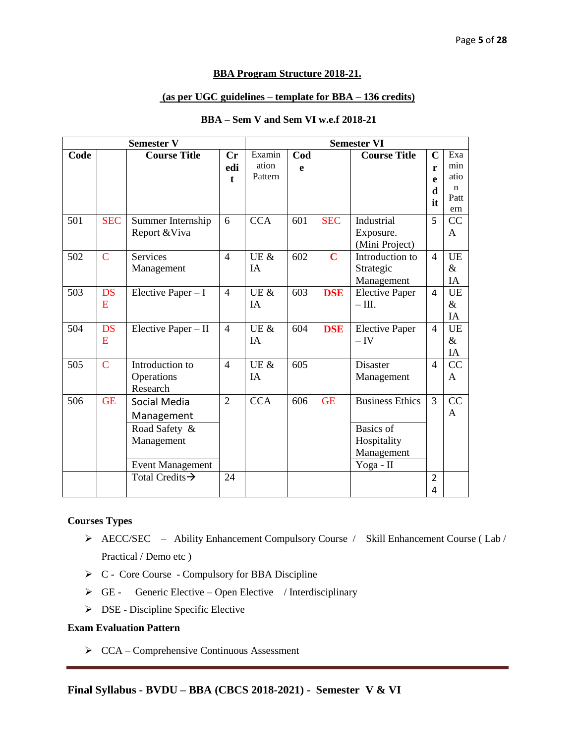#### **BBA Program Structure 2018-21.**

#### **(as per UGC guidelines – template for BBA – 136 credits)**

| <b>Semester V</b> |                |                             | <b>Semester VI</b> |            |     |                         |                        |                |           |
|-------------------|----------------|-----------------------------|--------------------|------------|-----|-------------------------|------------------------|----------------|-----------|
| Code              |                | <b>Course Title</b>         | Cr                 | Examin     | Cod |                         | <b>Course Title</b>    | $\overline{C}$ | Exa       |
|                   |                |                             | edi                | ation      | e   |                         |                        | r              | min       |
|                   |                |                             | $\mathbf{f}$       | Pattern    |     |                         |                        | e              | atio      |
|                   |                |                             |                    |            |     |                         |                        | d              | n         |
|                   |                |                             |                    |            |     |                         |                        | it             | Patt      |
|                   |                |                             |                    |            |     |                         |                        |                | ern       |
| 501               | <b>SEC</b>     | Summer Internship           | 6                  | <b>CCA</b> | 601 | <b>SEC</b>              | Industrial             | 5              | CC        |
|                   |                | Report & Viva               |                    |            |     |                         | Exposure.              |                | A         |
|                   |                |                             |                    |            |     |                         | (Mini Project)         |                |           |
| 502               | $\overline{C}$ | <b>Services</b>             | $\overline{4}$     | UE &       | 602 | $\overline{\mathbf{C}}$ | Introduction to        | $\overline{4}$ | <b>UE</b> |
|                   |                | Management                  |                    | IA         |     |                         | Strategic              |                | &         |
|                   |                |                             |                    |            |     |                         | Management             |                | IA        |
| 503               | <b>DS</b>      | Elective Paper $-I$         | $\overline{4}$     | UE $\&$    | 603 | <b>DSE</b>              | <b>Elective Paper</b>  | 4              | <b>UE</b> |
|                   | E              |                             |                    | IA         |     |                         | $- III.$               |                | $\&$      |
|                   |                |                             |                    |            |     |                         |                        |                | IA        |
| 504               | <b>DS</b>      | Elective Paper $-II$        | $\overline{4}$     | UE $\&$    | 604 | <b>DSE</b>              | <b>Elective Paper</b>  | $\overline{4}$ | UE        |
|                   | E              |                             |                    | IA         |     |                         | $-\mathrm{IV}$         |                | $\&$      |
|                   |                |                             |                    |            |     |                         |                        |                | IA        |
| 505               | $\mathbf C$    | Introduction to             | $\overline{4}$     | UE &       | 605 |                         | Disaster               | $\overline{4}$ | CC        |
|                   |                | Operations                  |                    | IA         |     |                         | Management             |                | A         |
|                   |                | Research                    |                    |            |     |                         |                        |                |           |
| 506               | <b>GE</b>      | Social Media                | $\overline{2}$     | <b>CCA</b> | 606 | <b>GE</b>               | <b>Business Ethics</b> | 3              | CC        |
|                   |                | Management                  |                    |            |     |                         |                        |                | A         |
|                   |                | Road Safety &               |                    |            |     |                         | <b>Basics</b> of       |                |           |
|                   |                | Management                  |                    |            |     |                         | Hospitality            |                |           |
|                   |                |                             |                    |            |     |                         | Management             |                |           |
|                   |                | <b>Event Management</b>     |                    |            |     |                         | Yoga - II              |                |           |
|                   |                | Total Credits $\rightarrow$ | 24                 |            |     |                         |                        | $\overline{2}$ |           |
|                   |                |                             |                    |            |     |                         |                        |                |           |
|                   |                |                             |                    |            |     |                         |                        | 4              |           |

#### **BBA – Sem V and Sem VI w.e.f 2018-21**

#### **Courses Types**

- AECC/SEC Ability Enhancement Compulsory Course / Skill Enhancement Course ( Lab / Practical / Demo etc )
- $\triangleright$  C Core Course Compulsory for BBA Discipline
- $\triangleright$  GE Generic Elective Open Elective / Interdisciplinary
- $\triangleright$  DSE Discipline Specific Elective

#### **Exam Evaluation Pattern**

CCA – Comprehensive Continuous Assessment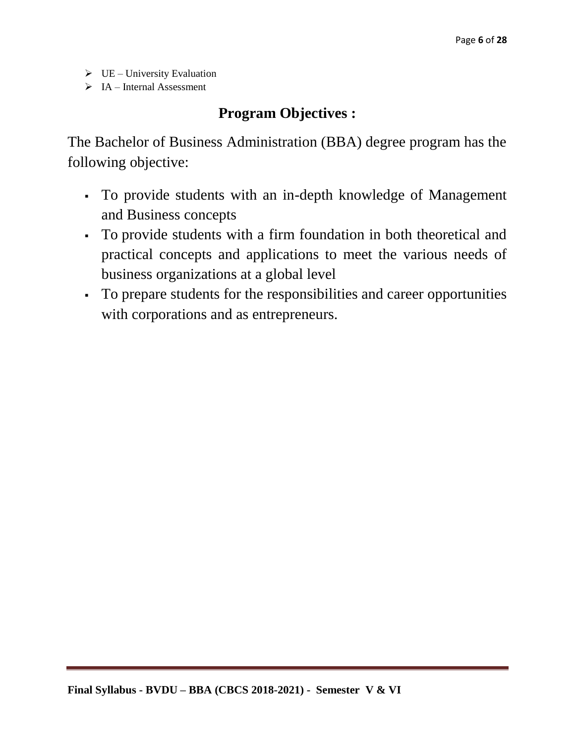- $\triangleright$  UE University Evaluation
- $\triangleright$  IA Internal Assessment

# **Program Objectives :**

The Bachelor of Business Administration (BBA) degree program has the following objective:

- To provide students with an in-depth knowledge of Management and Business concepts
- To provide students with a firm foundation in both theoretical and practical concepts and applications to meet the various needs of business organizations at a global level
- To prepare students for the responsibilities and career opportunities with corporations and as entrepreneurs.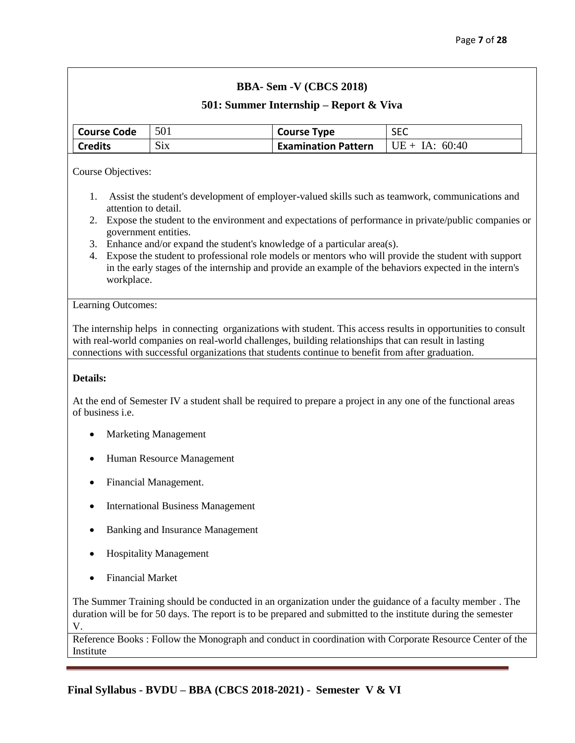#### **501: Summer Internship – Report & Viva**

| Course Code    | 501                  | <b>Course Type</b>         | <b>SEC</b>       |
|----------------|----------------------|----------------------------|------------------|
| <b>Credits</b> | $\sim$<br>$\rm{S1X}$ | <b>Examination Pattern</b> | $UE + IA: 60:40$ |

Course Objectives:

- 1. Assist the student's development of employer-valued skills such as teamwork, communications and attention to detail.
- 2. Expose the student to the environment and expectations of performance in private/public companies or government entities.
- 3. Enhance and/or expand the student's knowledge of a particular area(s).
- 4. Expose the student to professional role models or mentors who will provide the student with support in the early stages of the internship and provide an example of the behaviors expected in the intern's workplace.

#### Learning Outcomes:

The internship helps in connecting organizations with student. This access results in opportunities to consult with real-world companies on real-world challenges, building relationships that can result in lasting connections with successful organizations that students continue to benefit from after graduation.

#### **Details:**

At the end of Semester IV a student shall be required to prepare a project in any one of the functional areas of business i.e.

- Marketing Management
- Human Resource Management
- Financial Management.
- International Business Management
- Banking and Insurance Management
- Hospitality Management
- Financial Market

The Summer Training should be conducted in an organization under the guidance of a faculty member . The duration will be for 50 days. The report is to be prepared and submitted to the institute during the semester V.

Reference Books : Follow the Monograph and conduct in coordination with Corporate Resource Center of the Institute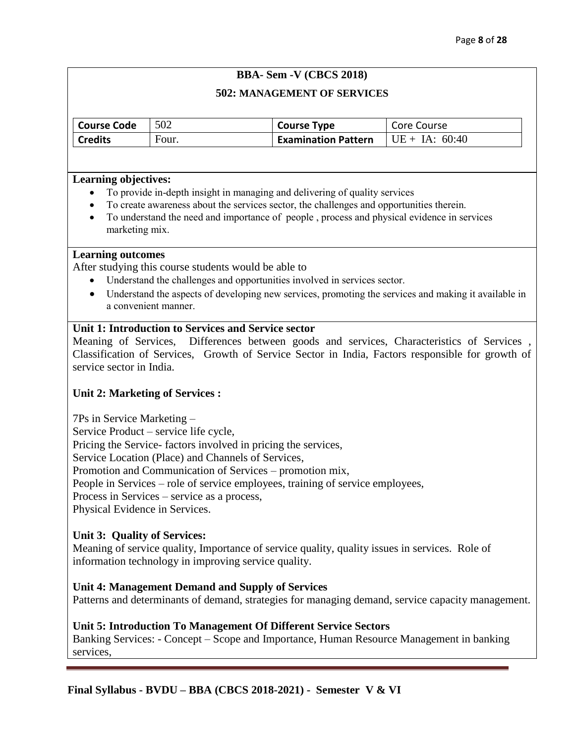#### **502: MANAGEMENT OF SERVICES**

| <b>Course Code</b> | 502   | <b>Course Type</b>         | Core Course      |
|--------------------|-------|----------------------------|------------------|
| <b>Credits</b>     | Four. | <b>Examination Pattern</b> | $UE + IA: 60:40$ |

#### **Learning objectives:**

- To provide in-depth insight in managing and delivering of quality services
- To create awareness about the services sector, the challenges and opportunities therein.
- To understand the need and importance of people , process and physical evidence in services marketing mix.

#### **Learning outcomes**

After studying this course students would be able to

- Understand the challenges and opportunities involved in services sector.
- Understand the aspects of developing new services, promoting the services and making it available in a convenient manner.

#### **Unit 1: Introduction to Services and Service sector**

Meaning of Services, Differences between goods and services, Characteristics of Services , Classification of Services, Growth of Service Sector in India, Factors responsible for growth of service sector in India.

#### **Unit 2: Marketing of Services :**

7Ps in Service Marketing –

Service Product – service life cycle,

Pricing the Service- factors involved in pricing the services,

Service Location (Place) and Channels of Services,

Promotion and Communication of Services – promotion mix,

People in Services – role of service employees, training of service employees,

Process in Services – service as a process,

Physical Evidence in Services.

#### **Unit 3: Quality of Services:**

Meaning of service quality, Importance of service quality, quality issues in services. Role of information technology in improving service quality.

#### **Unit 4: Management Demand and Supply of Services**

Patterns and determinants of demand, strategies for managing demand, service capacity management.

#### **Unit 5: Introduction To Management Of Different Service Sectors**

Banking Services: - Concept – Scope and Importance, Human Resource Management in banking services,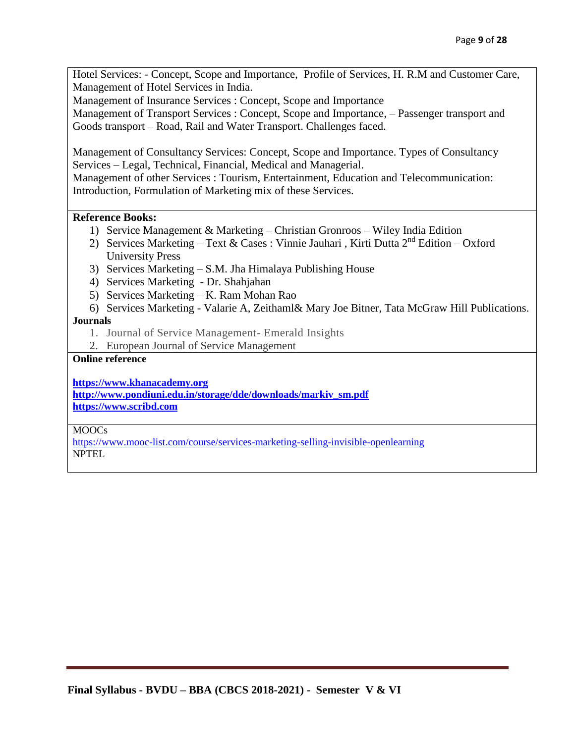Hotel Services: - Concept, Scope and Importance, Profile of Services, H. R.M and Customer Care, Management of Hotel Services in India.

Management of Insurance Services : Concept, Scope and Importance

Management of Transport Services : Concept, Scope and Importance, – Passenger transport and Goods transport – Road, Rail and Water Transport. Challenges faced.

Management of Consultancy Services: Concept, Scope and Importance. Types of Consultancy Services – Legal, Technical, Financial, Medical and Managerial.

Management of other Services : Tourism, Entertainment, Education and Telecommunication: Introduction, Formulation of Marketing mix of these Services.

#### **Reference Books:**

- 1) Service Management & Marketing Christian Gronroos Wiley India Edition
- 2) Services Marketing Text & Cases : Vinnie Jauhari, Kirti Dutta  $2^{nd}$  Edition Oxford University Press
- 3) Services Marketing S.M. Jha Himalaya Publishing House
- 4) Services Marketing Dr. Shahjahan
- 5) Services Marketing K. Ram Mohan Rao
- 6) Services Marketing Valarie A, Zeithaml& Mary Joe Bitner, Tata McGraw Hill Publications.

#### **Journals**

- 1. Journal of Service Management- Emerald Insights
- 2. European Journal of Service Management

### **Online reference**

**[https://www.khanacademy.org](https://www.khanacademy.org/)**

**[http://www.pondiuni.edu.in/storage/dde/downloads/markiv\\_sm.pdf](http://www.pondiuni.edu.in/storage/dde/downloads/markiv_sm.pdf) [https://www.scribd.com](https://www.scribd.com/)**

#### MOOCs

<https://www.mooc-list.com/course/services-marketing-selling-invisible-openlearning> NPTEL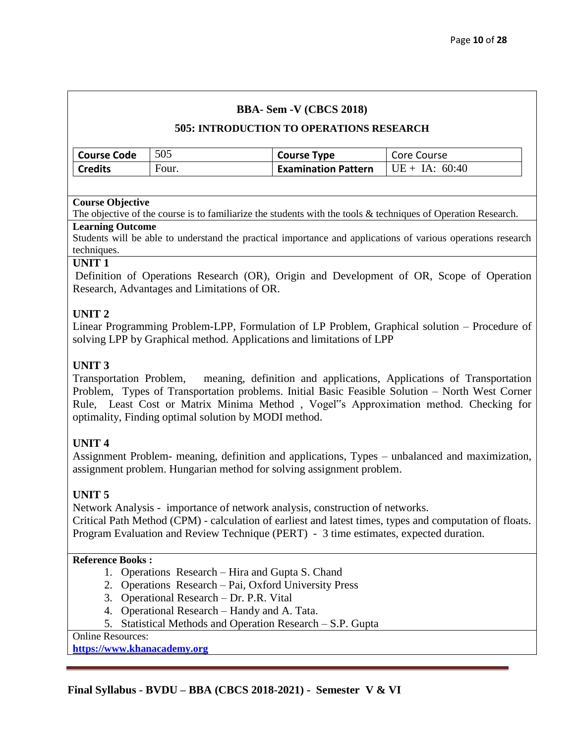#### **505: INTRODUCTION TO OPERATIONS RESEARCH**

| <b>Course Code</b> | 505   | <b>Course Type</b>         | Core Course      |
|--------------------|-------|----------------------------|------------------|
| <b>Credits</b>     | Four. | <b>Examination Pattern</b> | $UE + IA: 60:40$ |

#### **Course Objective**

The objective of the course is to familiarize the students with the tools & techniques of Operation Research.

#### **Learning Outcome**

Students will be able to understand the practical importance and applications of various operations research techniques.

#### **UNIT 1**

Definition of Operations Research (OR), Origin and Development of OR, Scope of Operation Research, Advantages and Limitations of OR.

#### **UNIT 2**

Linear Programming Problem-LPP, Formulation of LP Problem, Graphical solution – Procedure of solving LPP by Graphical method. Applications and limitations of LPP

#### **UNIT 3**

Transportation Problem, meaning, definition and applications, Applications of Transportation Problem, Types of Transportation problems. Initial Basic Feasible Solution – North West Corner Rule, Least Cost or Matrix Minima Method , Vogel"s Approximation method. Checking for optimality, Finding optimal solution by MODI method.

#### **UNIT 4**

Assignment Problem- meaning, definition and applications, Types – unbalanced and maximization, assignment problem. Hungarian method for solving assignment problem.

#### **UNIT 5**

Network Analysis - importance of network analysis, construction of networks. Critical Path Method (CPM) - calculation of earliest and latest times, types and computation of floats. Program Evaluation and Review Technique (PERT) - 3 time estimates, expected duration.

#### **Reference Books :**

- 1. Operations Research Hira and Gupta S. Chand
- 2. Operations Research Pai, Oxford University Press
- 3. Operational Research Dr. P.R. Vital
- 4. Operational Research Handy and A. Tata.
- 5. Statistical Methods and Operation Research S.P. Gupta

Online Resources:

**[https://www.khanacademy.org](https://www.khanacademy.org/)**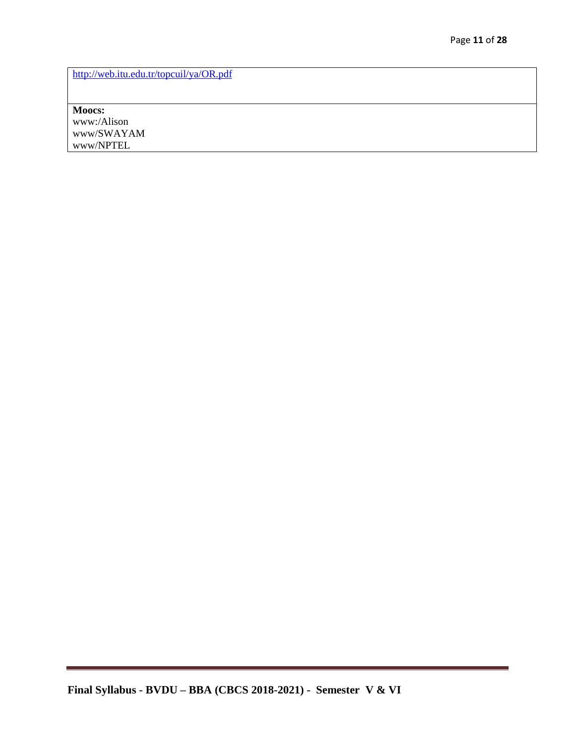<http://web.itu.edu.tr/topcuil/ya/OR.pdf>

**Moocs:** www:/Alison www/SWAYAM www/NPTEL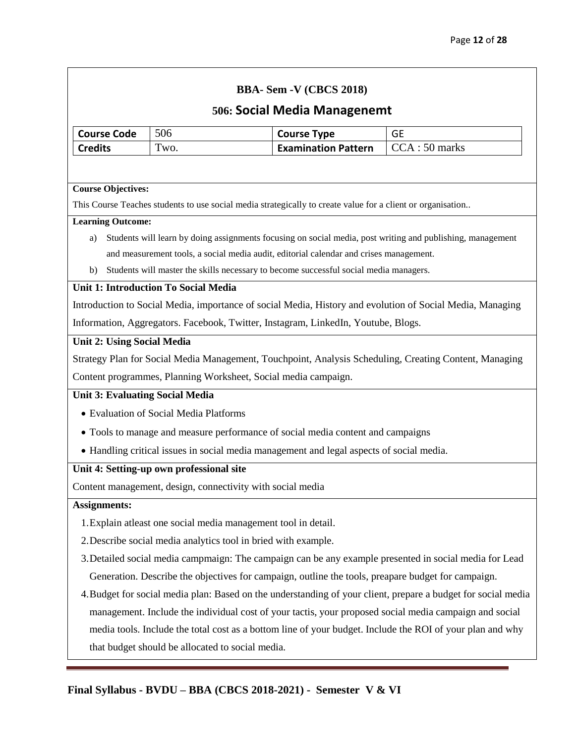# **506: Social Media Managenemt**

| <b>500: SOCIAL IVIEUIA IVIAIIAKEIIEIIIL</b> |                                                                                                             |                            |                                                                                                               |  |  |  |
|---------------------------------------------|-------------------------------------------------------------------------------------------------------------|----------------------------|---------------------------------------------------------------------------------------------------------------|--|--|--|
| <b>Course Code</b>                          | 506                                                                                                         | <b>Course Type</b>         | <b>GE</b>                                                                                                     |  |  |  |
| <b>Credits</b>                              | Two.                                                                                                        | <b>Examination Pattern</b> | CCA: 50 marks                                                                                                 |  |  |  |
|                                             |                                                                                                             |                            |                                                                                                               |  |  |  |
| <b>Course Objectives:</b>                   |                                                                                                             |                            |                                                                                                               |  |  |  |
|                                             | This Course Teaches students to use social media strategically to create value for a client or organisation |                            |                                                                                                               |  |  |  |
| <b>Learning Outcome:</b>                    |                                                                                                             |                            |                                                                                                               |  |  |  |
| a)                                          |                                                                                                             |                            | Students will learn by doing assignments focusing on social media, post writing and publishing, management    |  |  |  |
|                                             | and measurement tools, a social media audit, editorial calendar and crises management.                      |                            |                                                                                                               |  |  |  |
| b)                                          | Students will master the skills necessary to become successful social media managers.                       |                            |                                                                                                               |  |  |  |
|                                             | <b>Unit 1: Introduction To Social Media</b>                                                                 |                            |                                                                                                               |  |  |  |
|                                             |                                                                                                             |                            | Introduction to Social Media, importance of social Media, History and evolution of Social Media, Managing     |  |  |  |
|                                             | Information, Aggregators. Facebook, Twitter, Instagram, LinkedIn, Youtube, Blogs.                           |                            |                                                                                                               |  |  |  |
| <b>Unit 2: Using Social Media</b>           |                                                                                                             |                            |                                                                                                               |  |  |  |
|                                             |                                                                                                             |                            | Strategy Plan for Social Media Management, Touchpoint, Analysis Scheduling, Creating Content, Managing        |  |  |  |
|                                             | Content programmes, Planning Worksheet, Social media campaign.                                              |                            |                                                                                                               |  |  |  |
| <b>Unit 3: Evaluating Social Media</b>      |                                                                                                             |                            |                                                                                                               |  |  |  |
|                                             | • Evaluation of Social Media Platforms                                                                      |                            |                                                                                                               |  |  |  |
|                                             | • Tools to manage and measure performance of social media content and campaigns                             |                            |                                                                                                               |  |  |  |
|                                             | • Handling critical issues in social media management and legal aspects of social media.                    |                            |                                                                                                               |  |  |  |
|                                             | Unit 4: Setting-up own professional site                                                                    |                            |                                                                                                               |  |  |  |
|                                             | Content management, design, connectivity with social media                                                  |                            |                                                                                                               |  |  |  |
| <b>Assignments:</b>                         |                                                                                                             |                            |                                                                                                               |  |  |  |
|                                             | 1. Explain at least one social media management tool in detail.                                             |                            |                                                                                                               |  |  |  |
|                                             | 2. Describe social media analytics tool in bried with example.                                              |                            |                                                                                                               |  |  |  |
|                                             |                                                                                                             |                            | 3. Detailed social media campmaign: The campaign can be any example presented in social media for Lead        |  |  |  |
|                                             | Generation. Describe the objectives for campaign, outline the tools, preapare budget for campaign.          |                            |                                                                                                               |  |  |  |
|                                             |                                                                                                             |                            | 4. Budget for social media plan: Based on the understanding of your client, prepare a budget for social media |  |  |  |
|                                             |                                                                                                             |                            | management. Include the individual cost of your tactis, your proposed social media campaign and social        |  |  |  |
|                                             |                                                                                                             |                            | media tools. Include the total cost as a bottom line of your budget. Include the ROI of your plan and why     |  |  |  |
|                                             | that budget should be allocated to social media.                                                            |                            |                                                                                                               |  |  |  |
|                                             |                                                                                                             |                            |                                                                                                               |  |  |  |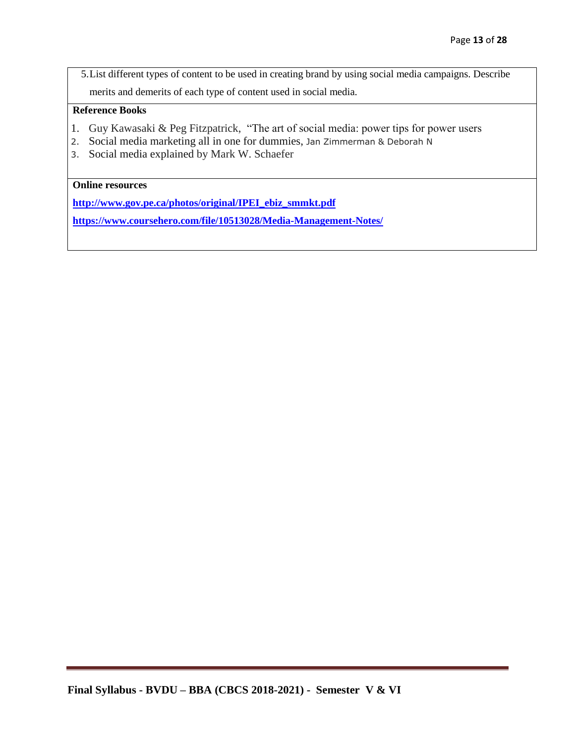5.List different types of content to be used in creating brand by using social media campaigns. Describe merits and demerits of each type of content used in social media.

#### **Reference Books**

- 1. Guy Kawasaki & Peg Fitzpatrick, "The art of social media: power tips for power users
- 2. Social media marketing all in one for dummies, Jan Zimmerman & Deborah N
- 3. Social media explained by Mark W. Schaefer

#### **Online resources**

**[http://www.gov.pe.ca/photos/original/IPEI\\_ebiz\\_smmkt.pdf](http://www.gov.pe.ca/photos/original/IPEI_ebiz_smmkt.pdf)**

**<https://www.coursehero.com/file/10513028/Media-Management-Notes/>**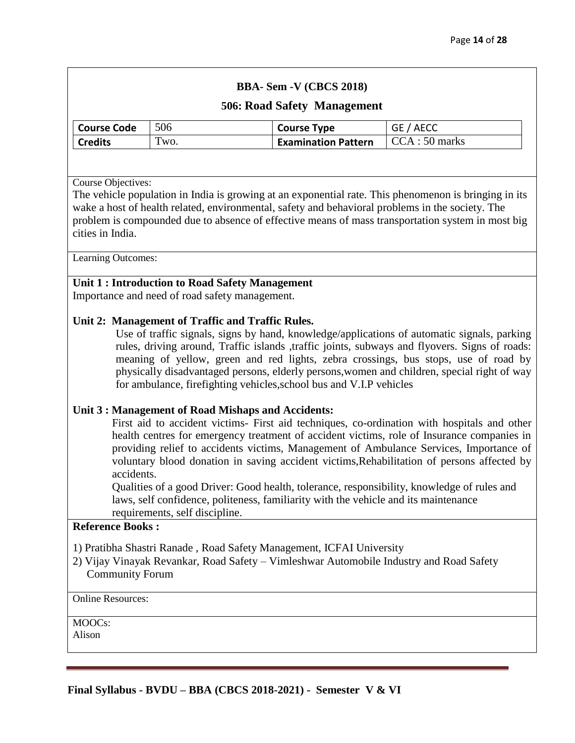#### **506: Road Safety Management**

| <b>Course Code</b> | 506  | <b>Course Type</b>         | GE / AECC     |
|--------------------|------|----------------------------|---------------|
| <b>Credits</b>     | Two. | <b>Examination Pattern</b> | CCA: 50 marks |

Course Objectives:

The vehicle population in India is growing at an exponential rate. This phenomenon is bringing in its wake a host of health related, environmental, safety and behavioral problems in the society. The problem is compounded due to absence of effective means of mass transportation system in most big cities in India.

Learning Outcomes:

#### **Unit 1 : Introduction to Road Safety Management**

Importance and need of road safety management.

#### **Unit 2: Management of Traffic and Traffic Rules.**

Use of traffic signals, signs by hand, knowledge/applications of automatic signals, parking rules, driving around, Traffic islands ,traffic joints, subways and flyovers. Signs of roads: meaning of yellow, green and red lights, zebra crossings, bus stops, use of road by physically disadvantaged persons, elderly persons,women and children, special right of way for ambulance, firefighting vehicles,school bus and V.I.P vehicles

#### **Unit 3 : Management of Road Mishaps and Accidents:**

First aid to accident victims- First aid techniques, co-ordination with hospitals and other health centres for emergency treatment of accident victims, role of Insurance companies in providing relief to accidents victims, Management of Ambulance Services, Importance of voluntary blood donation in saving accident victims,Rehabilitation of persons affected by accidents.

Qualities of a good Driver: Good health, tolerance, responsibility, knowledge of rules and laws, self confidence, politeness, familiarity with the vehicle and its maintenance requirements, self discipline.

#### **Reference Books :**

1) Pratibha Shastri Ranade , Road Safety Management, ICFAI University

2) Vijay Vinayak Revankar, Road Safety – Vimleshwar Automobile Industry and Road Safety Community Forum

Online Resources:

 $\overline{MOOCs}$ :

Alison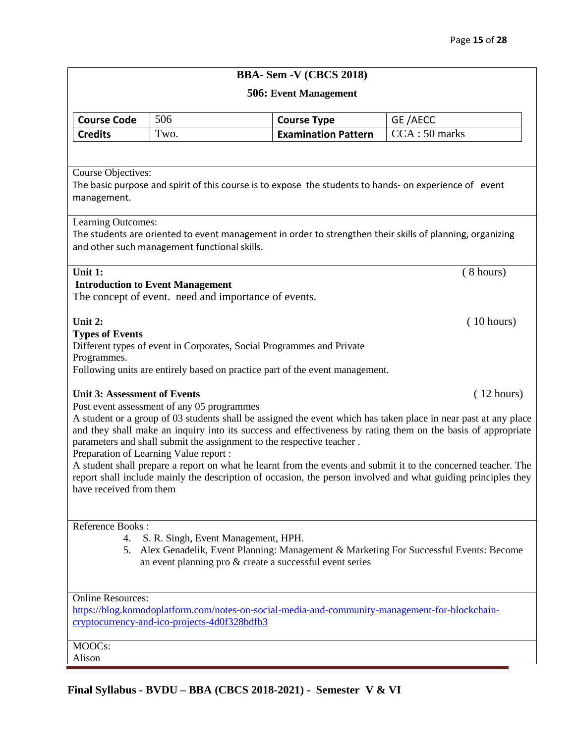#### **506: Event Management**

| Course Code    | 506  | <b>Course Type</b>         | GE/AECC                |
|----------------|------|----------------------------|------------------------|
| <b>Credits</b> | Two. | <b>Examination Pattern</b> | $\vert$ CCA : 50 marks |

#### Course Objectives:

The basic purpose and spirit of this course is to expose the students to hands- on experience of event management.

#### Learning Outcomes:

The students are oriented to event management in order to strengthen their skills of planning, organizing and other such management functional skills.

#### **Unit 1:**  $(8 \text{ hours})$ **Introduction to Event Management**

The concept of event. need and importance of events.

#### **Unit 2:** (10 hours)

#### **Types of Events**

Different types of event in Corporates, Social Programmes and Private

Programmes.

Following units are entirely based on practice part of the event management.

#### Unit 3: Assessment of Events **and Events** (12 hours)

Post event assessment of any 05 programmes

A student or a group of 03 students shall be assigned the event which has taken place in near past at any place and they shall make an inquiry into its success and effectiveness by rating them on the basis of appropriate parameters and shall submit the assignment to the respective teacher .

Preparation of Learning Value report :

A student shall prepare a report on what he learnt from the events and submit it to the concerned teacher. The report shall include mainly the description of occasion, the person involved and what guiding principles they have received from them

#### Reference Books :

- 4. S. R. Singh, Event Management, HPH.
- 5. Alex Genadelik, Event Planning: Management & Marketing For Successful Events: Become an event planning pro & create a successful event series

#### Online Resources:

[https://blog.komodoplatform.com/notes-on-social-media-and-community-management-for-blockchain](https://blog.komodoplatform.com/notes-on-social-media-and-community-management-for-blockchain-cryptocurrency-and-ico-projects-4d0f328bdfb3)[cryptocurrency-and-ico-projects-4d0f328bdfb3](https://blog.komodoplatform.com/notes-on-social-media-and-community-management-for-blockchain-cryptocurrency-and-ico-projects-4d0f328bdfb3)

#### MOOCs:

Alison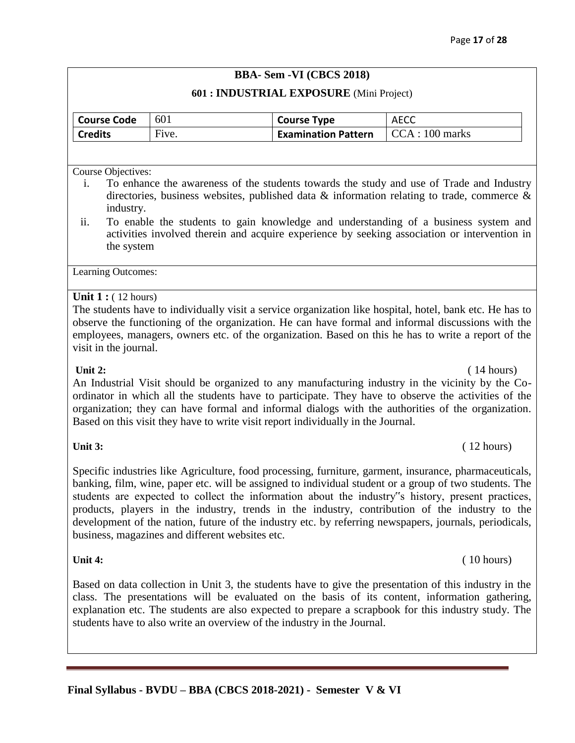#### **601 : INDUSTRIAL EXPOSURE** (Mini Project)

| <b>Course Code</b> | 601   | <b>Course Type</b>         | <b>AECC</b>             |
|--------------------|-------|----------------------------|-------------------------|
| <b>Credits</b>     | Five. | <b>Examination Pattern</b> | $\vert$ CCA : 100 marks |

Course Objectives:

- i. To enhance the awareness of the students towards the study and use of Trade and Industry directories, business websites, published data & information relating to trade, commerce & industry.
- ii. To enable the students to gain knowledge and understanding of a business system and activities involved therein and acquire experience by seeking association or intervention in the system

Learning Outcomes:

#### **Unit 1 :** ( 12 hours)

The students have to individually visit a service organization like hospital, hotel, bank etc. He has to observe the functioning of the organization. He can have formal and informal discussions with the employees, managers, owners etc. of the organization. Based on this he has to write a report of the visit in the journal.

#### **Unit 2:** (14 hours)

An Industrial Visit should be organized to any manufacturing industry in the vicinity by the Coordinator in which all the students have to participate. They have to observe the activities of the organization; they can have formal and informal dialogs with the authorities of the organization. Based on this visit they have to write visit report individually in the Journal.

#### **Unit 3:** (12 hours)

Specific industries like Agriculture, food processing, furniture, garment, insurance, pharmaceuticals, banking, film, wine, paper etc. will be assigned to individual student or a group of two students. The students are expected to collect the information about the industry"s history, present practices, products, players in the industry, trends in the industry, contribution of the industry to the development of the nation, future of the industry etc. by referring newspapers, journals, periodicals, business, magazines and different websites etc.

#### **Unit 4:** (10 hours) (10 hours)

Based on data collection in Unit 3, the students have to give the presentation of this industry in the class. The presentations will be evaluated on the basis of its content, information gathering, explanation etc. The students are also expected to prepare a scrapbook for this industry study. The students have to also write an overview of the industry in the Journal.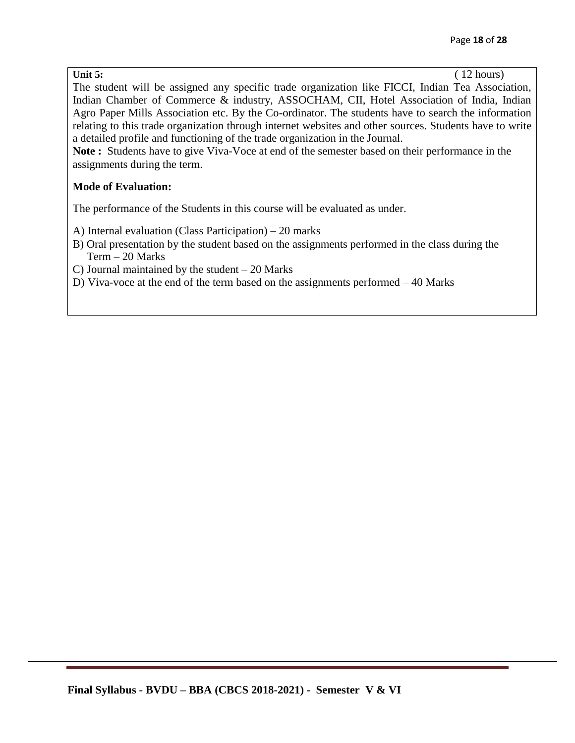The student will be assigned any specific trade organization like FICCI, Indian Tea Association, Indian Chamber of Commerce & industry, ASSOCHAM, CII, Hotel Association of India, Indian Agro Paper Mills Association etc. By the Co-ordinator. The students have to search the information relating to this trade organization through internet websites and other sources. Students have to write a detailed profile and functioning of the trade organization in the Journal.

**Note :** Students have to give Viva-Voce at end of the semester based on their performance in the assignments during the term.

#### **Mode of Evaluation:**

The performance of the Students in this course will be evaluated as under.

A) Internal evaluation (Class Participation) – 20 marks

B) Oral presentation by the student based on the assignments performed in the class during the Term – 20 Marks

C) Journal maintained by the student – 20 Marks

D) Viva-voce at the end of the term based on the assignments performed – 40 Marks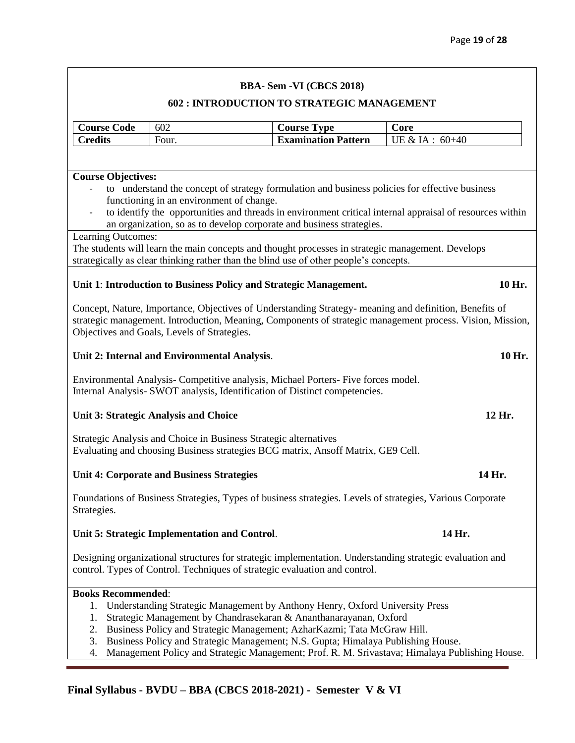#### **602 : INTRODUCTION TO STRATEGIC MANAGEMENT**

| <b>Course Code</b>                                                                                                                                                                                                                                                                                                                                          | 602                                                                                                                                                                                                                                                                                                              | <b>Course Type</b>         | Core                                                                                           |  |  |
|-------------------------------------------------------------------------------------------------------------------------------------------------------------------------------------------------------------------------------------------------------------------------------------------------------------------------------------------------------------|------------------------------------------------------------------------------------------------------------------------------------------------------------------------------------------------------------------------------------------------------------------------------------------------------------------|----------------------------|------------------------------------------------------------------------------------------------|--|--|
| <b>Credits</b>                                                                                                                                                                                                                                                                                                                                              | Four.                                                                                                                                                                                                                                                                                                            | <b>Examination Pattern</b> | UE & IA: 60+40                                                                                 |  |  |
|                                                                                                                                                                                                                                                                                                                                                             |                                                                                                                                                                                                                                                                                                                  |                            |                                                                                                |  |  |
| <b>Course Objectives:</b><br>to understand the concept of strategy formulation and business policies for effective business<br>functioning in an environment of change.<br>to identify the opportunities and threads in environment critical internal appraisal of resources within<br>an organization, so as to develop corporate and business strategies. |                                                                                                                                                                                                                                                                                                                  |                            |                                                                                                |  |  |
| Learning Outcomes:<br>The students will learn the main concepts and thought processes in strategic management. Develops<br>strategically as clear thinking rather than the blind use of other people's concepts.                                                                                                                                            |                                                                                                                                                                                                                                                                                                                  |                            |                                                                                                |  |  |
|                                                                                                                                                                                                                                                                                                                                                             | Unit 1: Introduction to Business Policy and Strategic Management.                                                                                                                                                                                                                                                |                            | 10 Hr.                                                                                         |  |  |
| Concept, Nature, Importance, Objectives of Understanding Strategy- meaning and definition, Benefits of<br>strategic management. Introduction, Meaning, Components of strategic management process. Vision, Mission,<br>Objectives and Goals, Levels of Strategies.                                                                                          |                                                                                                                                                                                                                                                                                                                  |                            |                                                                                                |  |  |
|                                                                                                                                                                                                                                                                                                                                                             | Unit 2: Internal and Environmental Analysis.                                                                                                                                                                                                                                                                     |                            | 10 Hr.                                                                                         |  |  |
| Environmental Analysis-Competitive analysis, Michael Porters- Five forces model.<br>Internal Analysis- SWOT analysis, Identification of Distinct competencies.                                                                                                                                                                                              |                                                                                                                                                                                                                                                                                                                  |                            |                                                                                                |  |  |
|                                                                                                                                                                                                                                                                                                                                                             | <b>Unit 3: Strategic Analysis and Choice</b>                                                                                                                                                                                                                                                                     |                            | 12 Hr.                                                                                         |  |  |
| Strategic Analysis and Choice in Business Strategic alternatives<br>Evaluating and choosing Business strategies BCG matrix, Ansoff Matrix, GE9 Cell.                                                                                                                                                                                                        |                                                                                                                                                                                                                                                                                                                  |                            |                                                                                                |  |  |
| <b>Unit 4: Corporate and Business Strategies</b><br>14 Hr.                                                                                                                                                                                                                                                                                                  |                                                                                                                                                                                                                                                                                                                  |                            |                                                                                                |  |  |
| Foundations of Business Strategies, Types of business strategies. Levels of strategies, Various Corporate<br>Strategies.                                                                                                                                                                                                                                    |                                                                                                                                                                                                                                                                                                                  |                            |                                                                                                |  |  |
| Unit 5: Strategic Implementation and Control.<br>14 Hr.                                                                                                                                                                                                                                                                                                     |                                                                                                                                                                                                                                                                                                                  |                            |                                                                                                |  |  |
| Designing organizational structures for strategic implementation. Understanding strategic evaluation and<br>control. Types of Control. Techniques of strategic evaluation and control.                                                                                                                                                                      |                                                                                                                                                                                                                                                                                                                  |                            |                                                                                                |  |  |
| <b>Books Recommended:</b><br>1.<br>1.<br>2.<br>3.<br>4.                                                                                                                                                                                                                                                                                                     | Understanding Strategic Management by Anthony Henry, Oxford University Press<br>Strategic Management by Chandrasekaran & Ananthanarayanan, Oxford<br>Business Policy and Strategic Management; AzharKazmi; Tata McGraw Hill.<br>Business Policy and Strategic Management; N.S. Gupta; Himalaya Publishing House. |                            | Management Policy and Strategic Management; Prof. R. M. Srivastava; Himalaya Publishing House. |  |  |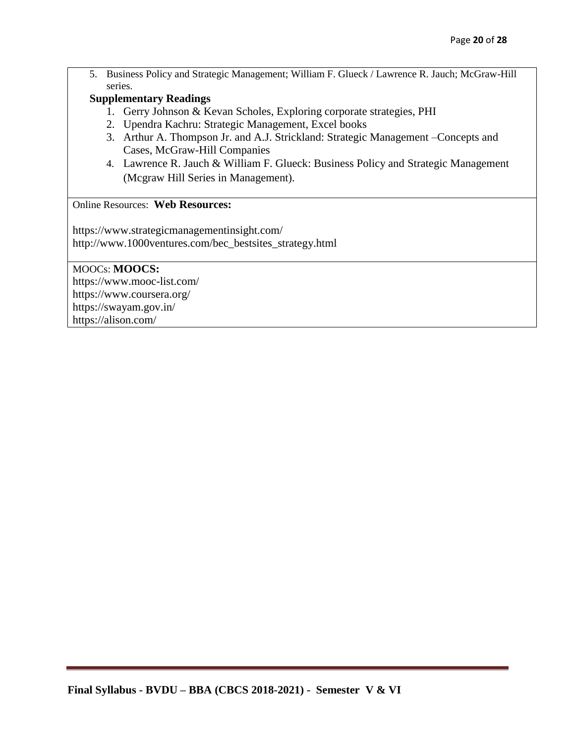5. Business Policy and Strategic Management; William F. Glueck / Lawrence R. Jauch; McGraw-Hill series.

### **Supplementary Readings**

- 1. Gerry Johnson & Kevan Scholes, Exploring corporate strategies, PHI
- 2. Upendra Kachru: Strategic Management, Excel books
- 3. Arthur A. Thompson Jr. and A.J. Strickland: Strategic Management –Concepts and Cases, McGraw-Hill Companies
- 4. Lawrence R. Jauch & William F. Glueck: Business Policy and Strategic Management (Mcgraw Hill Series in Management).

### Online Resources: **Web Resources:**

https://www.strategicmanagementinsight.com/ http://www.1000ventures.com/bec\_bestsites\_strategy.html

MOOCs: **MOOCS:**  https://www.mooc-list.com/ https://www.coursera.org/ https://swayam.gov.in/ https://alison.com/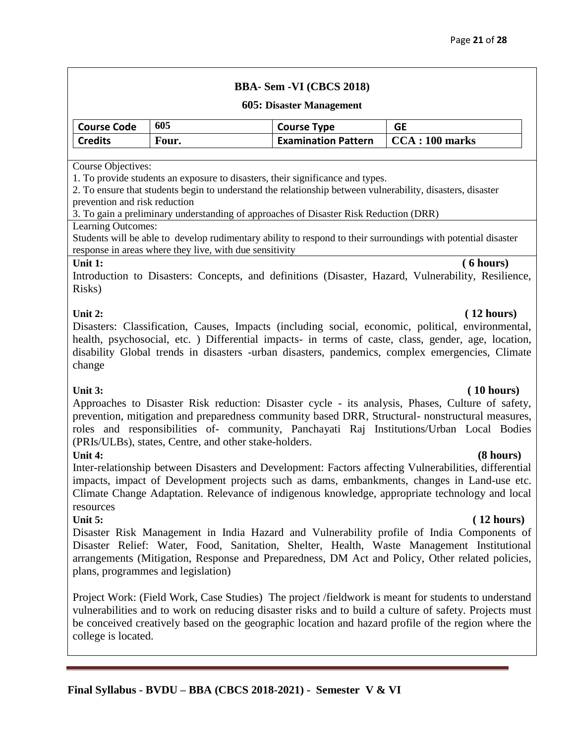#### **605: Disaster Management**

| <b>Course Code</b> | 605   | <b>Course Type</b>         | GE                      |
|--------------------|-------|----------------------------|-------------------------|
| <b>Credits</b>     | Four. | <b>Examination Pattern</b> | $\vert$ CCA : 100 marks |

#### Course Objectives:

1. To provide students an exposure to disasters, their significance and types.

2. To ensure that students begin to understand the relationship between vulnerability, disasters, disaster prevention and risk reduction

3. To gain a preliminary understanding of approaches of Disaster Risk Reduction (DRR)

#### Learning Outcomes:

Students will be able to develop rudimentary ability to respond to their surroundings with potential disaster response in areas where they live, with due sensitivity

#### **Unit 1: ( 6 hours)**

Introduction to Disasters: Concepts, and definitions (Disaster, Hazard, Vulnerability, Resilience, Risks)

Disasters: Classification, Causes, Impacts (including social, economic, political, environmental, health, psychosocial, etc. ) Differential impacts- in terms of caste, class, gender, age, location, disability Global trends in disasters -urban disasters, pandemics, complex emergencies, Climate change

#### **Unit 3: ( 10 hours)**

Approaches to Disaster Risk reduction: Disaster cycle - its analysis, Phases, Culture of safety, prevention, mitigation and preparedness community based DRR, Structural- nonstructural measures, roles and responsibilities of- community, Panchayati Raj Institutions/Urban Local Bodies (PRIs/ULBs), states, Centre, and other stake-holders.

#### **Unit 4: (8 hours)**

Inter-relationship between Disasters and Development: Factors affecting Vulnerabilities, differential impacts, impact of Development projects such as dams, embankments, changes in Land-use etc. Climate Change Adaptation. Relevance of indigenous knowledge, appropriate technology and local resources

**Unit 5: ( 12 hours)** Disaster Risk Management in India Hazard and Vulnerability profile of India Components of Disaster Relief: Water, Food, Sanitation, Shelter, Health, Waste Management Institutional arrangements (Mitigation, Response and Preparedness, DM Act and Policy, Other related policies, plans, programmes and legislation)

Project Work: (Field Work, Case Studies) The project /fieldwork is meant for students to understand vulnerabilities and to work on reducing disaster risks and to build a culture of safety. Projects must be conceived creatively based on the geographic location and hazard profile of the region where the college is located.

### **Unit 2: ( 12 hours)**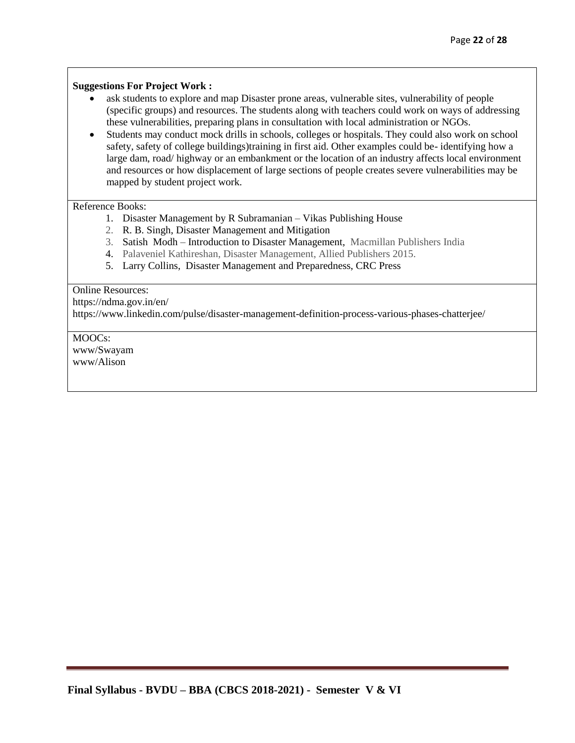#### **Suggestions For Project Work :**

- ask students to explore and map Disaster prone areas, vulnerable sites, vulnerability of people (specific groups) and resources. The students along with teachers could work on ways of addressing these vulnerabilities, preparing plans in consultation with local administration or NGOs.
- Students may conduct mock drills in schools, colleges or hospitals. They could also work on school safety, safety of college buildings)training in first aid. Other examples could be- identifying how a large dam, road/ highway or an embankment or the location of an industry affects local environment and resources or how displacement of large sections of people creates severe vulnerabilities may be mapped by student project work.

#### Reference Books:

- 1. Disaster Management by R Subramanian Vikas Publishing House
- 2. R. B. Singh, Disaster Management and Mitigation
- 3. Satish Modh Introduction to Disaster Management, Macmillan Publishers India
- 4. Palaveniel Kathireshan, Disaster Management, Allied Publishers 2015.
- 5. Larry Collins, Disaster Management and Preparedness, CRC Press

#### Online Resources:

https://ndma.gov.in/en/

https://www.linkedin.com/pulse/disaster-management-definition-process-various-phases-chatterjee/

MOOCs: www/Swayam www/Alison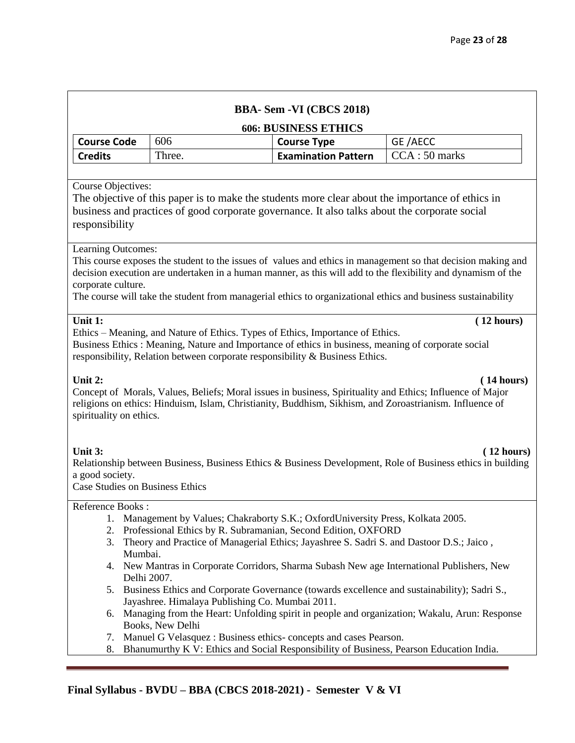|                                                                          |                                                                                                                                         | <b>BBA-Sem-VI</b> (CBCS 2018)                                                                                                                                                                                                                                         |                                                                                                                                                                                                                                                                                                                                              |
|--------------------------------------------------------------------------|-----------------------------------------------------------------------------------------------------------------------------------------|-----------------------------------------------------------------------------------------------------------------------------------------------------------------------------------------------------------------------------------------------------------------------|----------------------------------------------------------------------------------------------------------------------------------------------------------------------------------------------------------------------------------------------------------------------------------------------------------------------------------------------|
| <b>606: BUSINESS ETHICS</b>                                              |                                                                                                                                         |                                                                                                                                                                                                                                                                       |                                                                                                                                                                                                                                                                                                                                              |
| <b>Course Code</b>                                                       | 606                                                                                                                                     | <b>Course Type</b>                                                                                                                                                                                                                                                    | GE/AECC                                                                                                                                                                                                                                                                                                                                      |
| <b>Credits</b>                                                           | Three.                                                                                                                                  | <b>Examination Pattern</b>                                                                                                                                                                                                                                            | CCA: 50 marks                                                                                                                                                                                                                                                                                                                                |
|                                                                          |                                                                                                                                         |                                                                                                                                                                                                                                                                       |                                                                                                                                                                                                                                                                                                                                              |
| <b>Course Objectives:</b><br>responsibility                              |                                                                                                                                         | business and practices of good corporate governance. It also talks about the corporate social                                                                                                                                                                         | The objective of this paper is to make the students more clear about the importance of ethics in                                                                                                                                                                                                                                             |
| Learning Outcomes:<br>corporate culture.                                 |                                                                                                                                         |                                                                                                                                                                                                                                                                       | This course exposes the student to the issues of values and ethics in management so that decision making and<br>decision execution are undertaken in a human manner, as this will add to the flexibility and dynamism of the<br>The course will take the student from managerial ethics to organizational ethics and business sustainability |
| Unit 1:<br>Unit 2:<br>spirituality on ethics.                            |                                                                                                                                         | Ethics – Meaning, and Nature of Ethics. Types of Ethics, Importance of Ethics.<br>Business Ethics : Meaning, Nature and Importance of ethics in business, meaning of corporate social<br>responsibility, Relation between corporate responsibility & Business Ethics. | (12 hours)<br>(14 hours)<br>Concept of Morals, Values, Beliefs; Moral issues in business, Spirituality and Ethics; Influence of Major<br>religions on ethics: Hinduism, Islam, Christianity, Buddhism, Sikhism, and Zoroastrianism. Influence of                                                                                             |
| Unit 3:<br>a good society.<br><b>Case Studies on Business Ethics</b>     |                                                                                                                                         |                                                                                                                                                                                                                                                                       | (12 hours)<br>Relationship between Business, Business Ethics & Business Development, Role of Business ethics in building                                                                                                                                                                                                                     |
| Reference Books:<br>1.<br>2.<br>3.<br>Mumbai.<br>Delhi 2007.<br>5.<br>6. | Jayashree. Himalaya Publishing Co. Mumbai 2011.<br>Books, New Delhi<br>Manuel G Velasquez : Business ethics-concepts and cases Pearson. | Management by Values; Chakraborty S.K.; OxfordUniversity Press, Kolkata 2005.<br>Professional Ethics by R. Subramanian, Second Edition, OXFORD<br>Theory and Practice of Managerial Ethics; Jayashree S. Sadri S. and Dastoor D.S.; Jaico,                            | 4. New Mantras in Corporate Corridors, Sharma Subash New age International Publishers, New<br>Business Ethics and Corporate Governance (towards excellence and sustainability); Sadri S.,<br>Managing from the Heart: Unfolding spirit in people and organization; Wakalu, Arun: Response                                                    |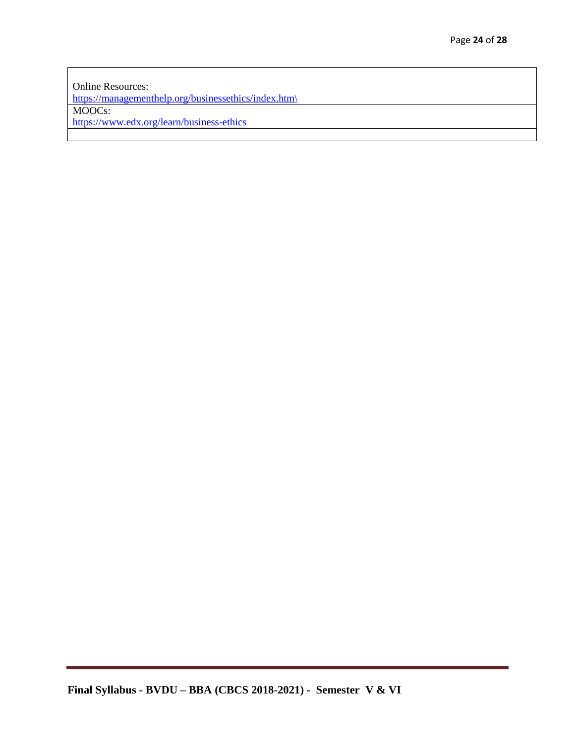Online Resources: [https://managementhelp.org/businessethics/index.htm\](https://managementhelp.org/businessethics/index.htm/) MOOCs: <https://www.edx.org/learn/business-ethics>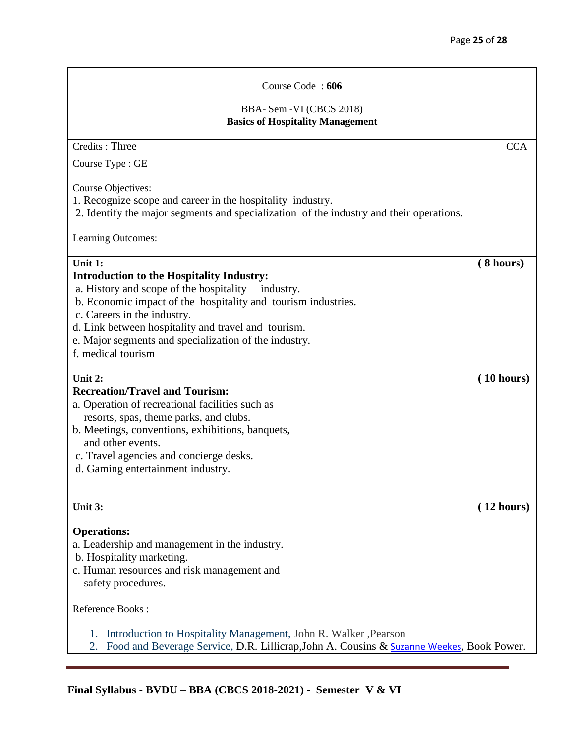# BBA- Sem -VI (CBCS 2018) **Basics of Hospitality Management** Credits : Three CCA Course Type : GE Course Objectives: 1. Recognize scope and career in the hospitality industry. 2. Identify the major segments and specialization of the industry and their operations. Learning Outcomes: **Unit 1: ( 8 hours) Introduction to the Hospitality Industry:** a. History and scope of the hospitality industry. b. Economic impact of the hospitality and tourism industries. c. Careers in the industry. d. Link between hospitality and travel and tourism. e. Major segments and specialization of the industry. f. medical tourism **Unit 2: ( 10 hours) Recreation/Travel and Tourism:**  a. Operation of recreational facilities such as resorts, spas, theme parks, and clubs. b. Meetings, conventions, exhibitions, banquets, and other events. c. Travel agencies and concierge desks. d. Gaming entertainment industry. **Unit 3: ( 12 hours) Operations:**  a. Leadership and management in the industry. b. Hospitality marketing. c. Human resources and risk management and safety procedures.

Course Code : **606**

#### Reference Books :

- 1. Introduction to Hospitality Management, John R. Walker ,Pearson
- 2. Food and Beverage Service, D.R. Lillicrap, John A. Cousins & [Suzanne Weekes](https://www.google.co.in/search?hl=en&tbm=bks&tbm=bks&q=inauthor:%22Suzanne+Weekes%22&sa=X&ved=0ahUKEwjqiYH9ocbdAhVRWX0KHSJWB1kQ9AgIMzAB), Book Power.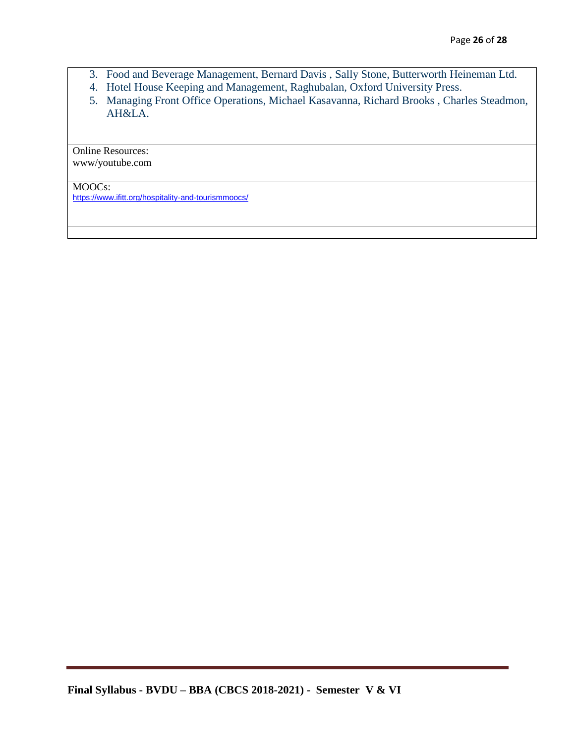- 3. Food and Beverage Management, Bernard Davis , Sally Stone, Butterworth Heineman Ltd.
- 4. Hotel House Keeping and Management, Raghubalan, Oxford University Press.
- 5. Managing Front Office Operations, Michael Kasavanna, Richard Brooks , Charles Steadmon, AH&LA.

Online Resources: www/youtube.com

MOOCs:

<https://www.ifitt.org/hospitality-and-tourismmoocs/>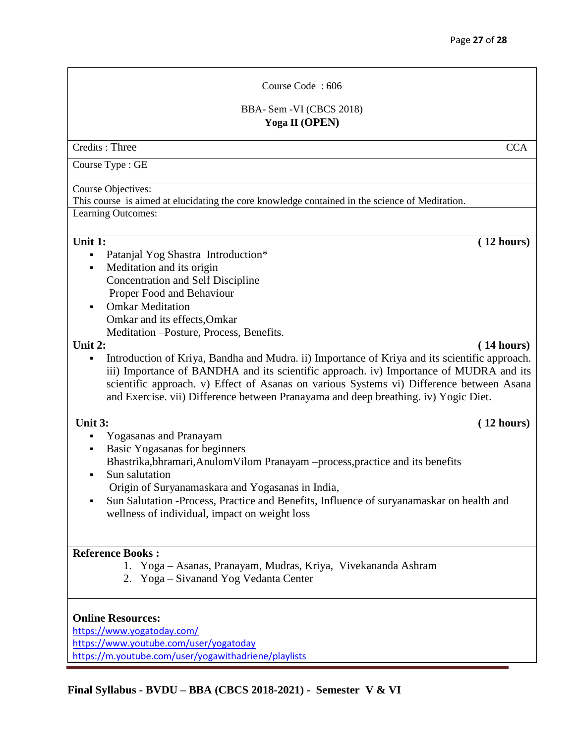Course Code : 606

BBA- Sem -VI (CBCS 2018) **Yoga II (OPEN)**

Credits : Three CCA

Course Type : GE

Course Objectives:

This course is aimed at elucidating the core knowledge contained in the science of Meditation.

Learning Outcomes:

#### Unit 1: (12 hours)

- Patanjal Yog Shastra Introduction\*
- Meditation and its origin Concentration and Self Discipline Proper Food and Behaviour
- Omkar Meditation Omkar and its effects,Omkar Meditation –Posture, Process, Benefits.

#### Unit 2: (14 hours)

 Introduction of Kriya, Bandha and Mudra. ii) Importance of Kriya and its scientific approach. iii) Importance of BANDHA and its scientific approach. iv) Importance of MUDRA and its scientific approach. v) Effect of Asanas on various Systems vi) Difference between Asana and Exercise. vii) Difference between Pranayama and deep breathing. iv) Yogic Diet.

- Yogasanas and Pranayam
- Basic Yogasanas for beginners
	- Bhastrika,bhramari,AnulomVilom Pranayam –process,practice and its benefits
- Sun salutation Origin of Suryanamaskara and Yogasanas in India,
- Sun Salutation -Process, Practice and Benefits, Influence of suryanamaskar on health and wellness of individual, impact on weight loss

#### **Reference Books :**

- 1. Yoga Asanas, Pranayam, Mudras, Kriya, Vivekananda Ashram
- 2. Yoga Sivanand Yog Vedanta Center

#### **Online Resources:**

<https://www.yogatoday.com/> <https://www.youtube.com/user/yogatoday> <https://m.youtube.com/user/yogawithadriene/playlists>

### **Unit 3: ( 12 hours)**